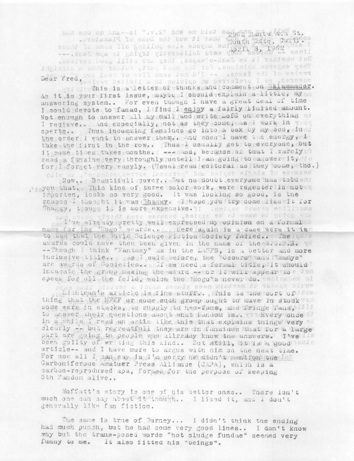and eno on the--el ".v. x" onw em blot 2962 Santa Ana St. ested, California and the was the street of Plazatorn. --- Near eds of PutAia (paragiter sism whit 3, 1963 and resolution of the second service of But whether it be Jack-o'aagas, they are still good reviews. They express opinions, for the most part, rather than a straight Dear Fred, and hast to svil mesa don b'I -- .swaat end le wetver wis of This is a letter of thanks and collagest on Salamander.

As it is your first issue, maybe I should explain a little, my on answering system.. For even though I have a great deal of time I could devote to fanac, I find I enjoy a fairly limited amount. Not enough to answer all my mail and write noff on everything of I recieve.. And especially, not as they come, as I work in mov sperts.. Thus incomming fanzines go into a box by my bed, in it the order I want to answer them.. And when I have the energy, It take the first in the row.. Thus I usually get to everyone, but it some times takes months. | --- And, because of that I rarely read a fanzine very throughly untell I am going to answer it, to for I forget very easyly. (Usual reau editoral as they come, tho.)

ndiw as , "sinchnogaenico isnosieg" bns aeigoo elania lo esusced Now.. Beautifull cover.. But no douvt everyone has toldedd you that. This kind of three color work, were regester is not ov importen, looks so very good. It was looking so good, is the

reason I thought it was Shaggy. I hope you try some like it for Shaggy, though it is more expensive. IT .est to broces soffices

I've already pretty well expressed my opinion on a formal of name for the "Dugo" awards... Here again is a case were it is"<br>to bad that the borld Science Fiction Society failed... The case awards could have then been given in the name of the ca. S. B. VO -- Though I think "Fantasy" as in the LASFS, is a better and more inclusive title... said before, the "Oscars" and "Lumys" are aw rus of Societies... If we need a formal title, it should inducate the group making the award -- cordit will appear to a for speck for all the feild, which the "Hogo"s never do. sents and al

world appear at certain news stands about a certain time each Lichtman's arcicle is fine stuff.. This is the sort of from. thing that the NFFF or some such group ought to have in stock "on some were in stacks, to supply to neo-fans, and fringe fans, Id to to answer their questions about what fandom is.. W Every once it in a while I read an artic like this that explains thinks very a clearly -- but regreatfull they are in fanzines that for a large part are going to people who allreddy know the answers. I've been guilty of writing this kind.. But still, it is a good cento article-- and I have more to argue with him on the next time. For now all I can say is I'm sorry he sidn't mention the Is? Carboniferous Amatuer Press Alliance (CAPA), which is a carbon-reproduzed apa, formed for the perpose of keeping 5th Fandom alive..

Moffatt's story is one of his better ones.. There isn't much one can say about it though.. I liked it, and i don't generally like fan fiction.

The same is true of Gurney... I didn't think the ending had much punch, but he had some very good lines.. I don't know why but the trans-posed words "hot sludge fundae" seemed very funny to me. It also fitted his "beings".